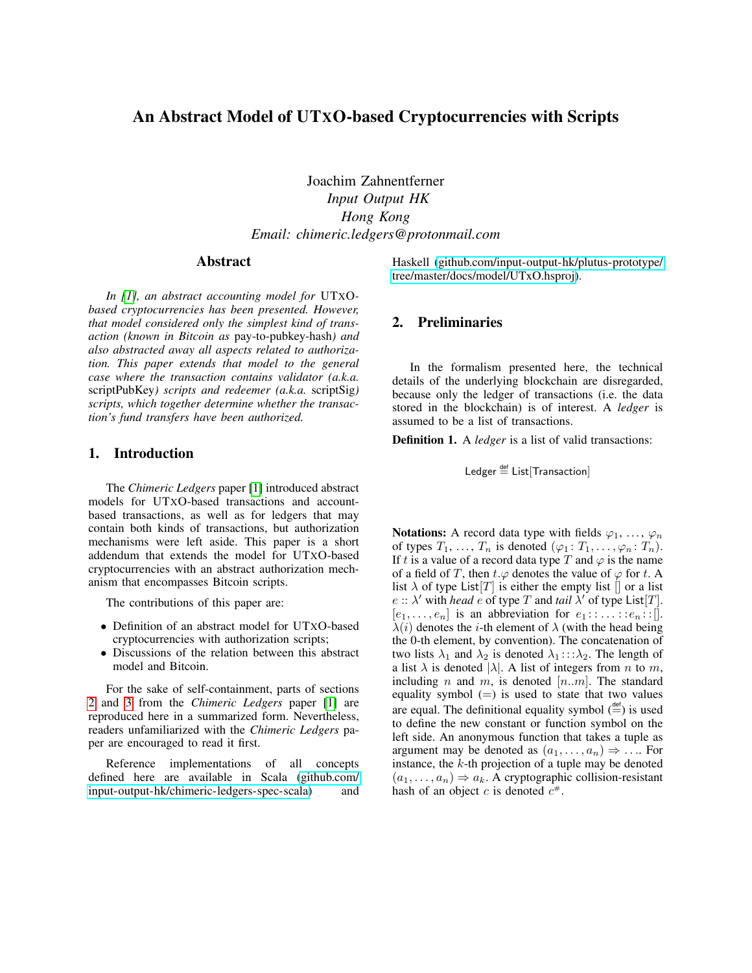# An Abstract Model of UTXO-based Cryptocurrencies with Scripts

Joachim Zahnentferner *Input Output HK Hong Kong Email: chimeric.ledgers@protonmail.com*

### Abstract

*In [\[1\]](#page-4-0), an abstract accounting model for* UTXO*based cryptocurrencies has been presented. However, that model considered only the simplest kind of transaction (known in Bitcoin as* pay-to-pubkey-hash*) and also abstracted away all aspects related to authorization. This paper extends that model to the general case where the transaction contains validator (a.k.a.* scriptPubKey*) scripts and redeemer (a.k.a.* scriptSig*) scripts, which together determine whether the transaction's fund transfers have been authorized.*

### 1. Introduction

The *Chimeric Ledgers* paper [\[1\]](#page-4-0) introduced abstract models for UTXO-based transactions and accountbased transactions, as well as for ledgers that may contain both kinds of transactions, but authorization mechanisms were left aside. This paper is a short addendum that extends the model for UTXO-based cryptocurrencies with an abstract authorization mechanism that encompasses Bitcoin scripts.

The contributions of this paper are:

- Definition of an abstract model for UTXO-based cryptocurrencies with authorization scripts;
- Discussions of the relation between this abstract model and Bitcoin.

For the sake of self-containment, parts of sections [2](#page-0-0) and [3](#page-1-0) from the *Chimeric Ledgers* paper [\[1\]](#page-4-0) are reproduced here in a summarized form. Nevertheless, readers unfamiliarized with the *Chimeric Ledgers* paper are encouraged to read it first.

Reference implementations of all concepts defined here are available in Scala [\(github.com/](github.com/input-output-hk/chimeric-ledgers-spec-scala) [input-output-hk/chimeric-ledgers-spec-scala\)](github.com/input-output-hk/chimeric-ledgers-spec-scala) and Haskell [\(github.com/input-output-hk/plutus-prototype/](github.com/input-output-hk/plutus-prototype/tree/master/docs/model/UTxO.hsproj) [tree/master/docs/model/UTxO.hsproj\)](github.com/input-output-hk/plutus-prototype/tree/master/docs/model/UTxO.hsproj).

### <span id="page-0-0"></span>2. Preliminaries

In the formalism presented here, the technical details of the underlying blockchain are disregarded, because only the ledger of transactions (i.e. the data stored in the blockchain) is of interest. A *ledger* is assumed to be a list of transactions.

Definition 1. A *ledger* is a list of valid transactions:

Ledger  $\stackrel{\text{def}}{=}$  List[Transaction]

Notations: A record data type with fields  $\varphi_1, \ldots, \varphi_n$ of types  $T_1, \ldots, T_n$  is denoted  $(\varphi_1; T_1, \ldots, \varphi_n; T_n)$ . If t is a value of a record data type T and  $\varphi$  is the name of a field of T, then  $t.\varphi$  denotes the value of  $\varphi$  for t. A list  $\lambda$  of type List $[T]$  is either the empty list  $[]$  or a list  $e$  ::  $\lambda'$  with *head*  $e$  of type T and *tail*  $\lambda'$  of type List[T].  $[e_1, \ldots, e_n]$  is an abbreviation for  $e_1 : \ldots : e_n : [\cdot]$ .  $\lambda(i)$  denotes the *i*-th element of  $\lambda$  (with the head being the 0-th element, by convention). The concatenation of two lists  $\lambda_1$  and  $\lambda_2$  is denoted  $\lambda_1$ :: $\lambda_2$ . The length of a list  $\lambda$  is denoted  $|\lambda|$ . A list of integers from *n* to *m*, including n and m, is denoted  $[n..m]$ . The standard equality symbol  $(=)$  is used to state that two values are equal. The definitional equality symbol  $\left(\stackrel{\text{def}}{=} \right)$  is used to define the new constant or function symbol on the left side. An anonymous function that takes a tuple as argument may be denoted as  $(a_1, \ldots, a_n) \Rightarrow \ldots$  For instance, the  $k$ -th projection of a tuple may be denoted  $(a_1, \ldots, a_n) \Rightarrow a_k$ . A cryptographic collision-resistant hash of an object c is denoted  $c^*$ .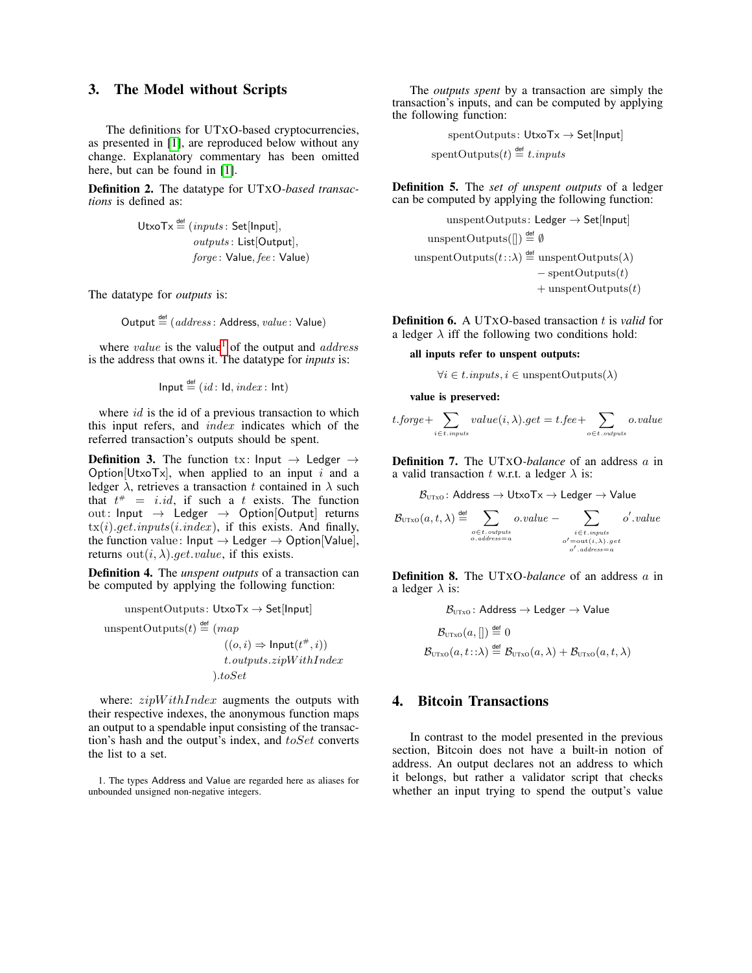## <span id="page-1-0"></span>3. The Model without Scripts

The definitions for UTXO-based cryptocurrencies, as presented in [\[1\]](#page-4-0), are reproduced below without any change. Explanatory commentary has been omitted here, but can be found in [\[1\]](#page-4-0).

Definition 2. The datatype for UTXO*-based transactions* is defined as:

$$
UtxoTx \stackrel{\text{def}}{=} (inputs: Set[Input],
$$
  
*outputs: List[Output],*  
*force: Value, fee: Value)*

The datatype for *outputs* is:

Output  $\stackrel{\text{def}}{=} (address: Address, value: Value)$ 

where *value* is the value<sup>[1](#page-1-1)</sup> of the output and *address* is the address that owns it. The datatype for *inputs* is:

$$
\mathsf{Input} \stackrel{\mathsf{def}}{=} (\mathit{id} : \mathsf{Id}, \mathit{index} : \mathsf{Int})
$$

where  $id$  is the id of a previous transaction to which this input refers, and index indicates which of the referred transaction's outputs should be spent.

**Definition 3.** The function tx: Input  $\rightarrow$  Ledger  $\rightarrow$ Option[UtxoTx], when applied to an input i and a ledger  $\lambda$ , retrieves a transaction t contained in  $\lambda$  such that  $t^* = i.id$ , if such a t exists. The function out: Input  $\rightarrow$  Ledger  $\rightarrow$  Option[Output] returns  $tx(i).get.inputs(i.index)$ , if this exists. And finally, the function value:  $Input \rightarrow$  Ledger  $\rightarrow$  Option[Value], returns  $out(i, \lambda)$ .get.value, if this exists.

<span id="page-1-2"></span>Definition 4. The *unspent outputs* of a transaction can be computed by applying the following function:

unspentOutputStream: 
$$
UtxoTx \rightarrow Set[Input]
$$
\n
$$
unspentOutputStream(t) \stackrel{\text{def}}{=} (map
$$
\n
$$
((o, i) \Rightarrow Input(t^*, i))
$$
\n
$$
t.out puts. zipWithIndex
$$
\n
$$
).toSet
$$

where:  $zipWithIndex$  augments the outputs with their respective indexes, the anonymous function maps an output to a spendable input consisting of the transaction's hash and the output's index, and toSet converts the list to a set.

<span id="page-1-1"></span>1. The types Address and Value are regarded here as aliases for unbounded unsigned non-negative integers.

The *outputs spent* by a transaction are simply the transaction's inputs, and can be computed by applying the following function:

> spentOutputs: UtxoTx → Set[Input]  $\text{spentOutputs}(t) \stackrel{\text{def}}{=} t.\text{inputs}$

<span id="page-1-3"></span>Definition 5. The *set of unspent outputs* of a ledger can be computed by applying the following function:

$$
un spent Outputs: Ledger → Set[Input]
$$
\n
$$
un spent Outputs[][]) \stackrel{\text{def}}{=} ∅
$$
\n
$$
un spent Outputs(t::λ) \stackrel{\text{def}}{=} un spent Outputs(λ)
$$
\n
$$
- spent Outputs(t)
$$
\n
$$
+ un spent Outputs(t)
$$

<span id="page-1-4"></span>**Definition 6.** A UTXO-based transaction t is *valid* for a ledger  $\lambda$  iff the following two conditions hold:

all inputs refer to unspent outputs:

 $\forall i \in t. inputs, i \in \text{unspentOutputs}(\lambda)$ 

value is preserved:

$$
t.\textit{forget} + \sum_{i \in t.\textit{inputs}} value(i, \lambda).get = t.\textit{fee} + \sum_{o \in t.\textit{outputs}} o.\textit{value}
$$

Definition 7. The UTXO*-balance* of an address a in a valid transaction t w.r.t. a ledger  $\lambda$  is:

 $B_{UTXO}$ : Address  $\rightarrow$  UtxoTx  $\rightarrow$  Ledger  $\rightarrow$  Value

$$
\mathcal{B}_{\text{UTXO}}(a, t, \lambda) \stackrel{\text{def}}{=} \sum_{\substack{o \in t. \text{ outputs} \\ o. \text{ address} = a}} o.value - \sum_{\substack{i \in t. \text{ inputs} \\ o' = \text{out}(i, \lambda). \text{get} \\ o'. \text{ address} = a}} o'.value
$$

Definition 8. The UTXO*-balance* of an address a in a ledger  $\lambda$  is:

$$
\mathcal{B}_{\text{UTxo}}: \text{Address} \to \text{Ledge} \to \text{Value}
$$
\n
$$
\mathcal{B}_{\text{UTxo}}(a, [] \stackrel{\text{def}}{=} 0
$$
\n
$$
\mathcal{B}_{\text{UTxo}}(a, t: : \lambda) \stackrel{\text{def}}{=} \mathcal{B}_{\text{UTxo}}(a, \lambda) + \mathcal{B}_{\text{UTxo}}(a, t, \lambda)
$$

# 4. Bitcoin Transactions

In contrast to the model presented in the previous section, Bitcoin does not have a built-in notion of address. An output declares not an address to which it belongs, but rather a validator script that checks whether an input trying to spend the output's value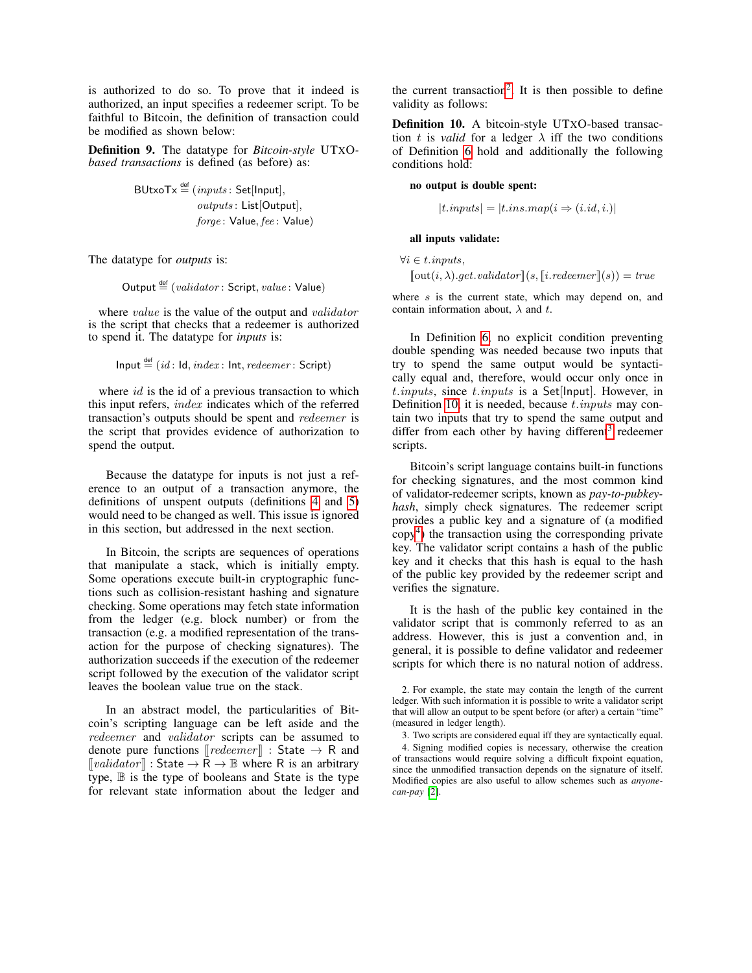is authorized to do so. To prove that it indeed is authorized, an input specifies a redeemer script. To be faithful to Bitcoin, the definition of transaction could be modified as shown below:

<span id="page-2-4"></span>Definition 9. The datatype for *Bitcoin-style* UTXO*based transactions* is defined (as before) as:

$$
\text{BUtxoTx} \stackrel{\text{def}}{=} (inputs: \text{Set}[\text{Input}],
$$
  
*outputs: List[Output],*  
*forget: Value, fee: Value)*

The datatype for *outputs* is:

Output 
$$
\stackrel{\text{def}}{=} (validation:Script, value: Value)
$$

where *value* is the value of the output and *validator* is the script that checks that a redeemer is authorized to spend it. The datatype for *inputs* is:

Input 
$$
\stackrel{\text{def}}{=} (id : \text{Id}, index : \text{Int}, redeemer : \text{Script})
$$

where *id* is the id of a previous transaction to which this input refers, index indicates which of the referred transaction's outputs should be spent and redeemer is the script that provides evidence of authorization to spend the output.

Because the datatype for inputs is not just a reference to an output of a transaction anymore, the definitions of unspent outputs (definitions [4](#page-1-2) and [5\)](#page-1-3) would need to be changed as well. This issue is ignored in this section, but addressed in the next section.

In Bitcoin, the scripts are sequences of operations that manipulate a stack, which is initially empty. Some operations execute built-in cryptographic functions such as collision-resistant hashing and signature checking. Some operations may fetch state information from the ledger (e.g. block number) or from the transaction (e.g. a modified representation of the transaction for the purpose of checking signatures). The authorization succeeds if the execution of the redeemer script followed by the execution of the validator script leaves the boolean value true on the stack.

In an abstract model, the particularities of Bitcoin's scripting language can be left aside and the redeemer and validator scripts can be assumed to denote pure functions  $\llbracket \text{redeemer} \rrbracket$  : State  $\rightarrow$  R and  $\lceil \text{validation} \rceil$  : State  $\rightarrow \mathbb{R} \rightarrow \mathbb{B}$  where R is an arbitrary  $type,$   $\mathbb B$  is the type of booleans and State is the type for relevant state information about the ledger and

the current transaction<sup>[2](#page-2-0)</sup>. It is then possible to define validity as follows:

<span id="page-2-1"></span>Definition 10. A bitcoin-style UTXO-based transaction t is *valid* for a ledger  $\lambda$  iff the two conditions of Definition [6](#page-1-4) hold and additionally the following conditions hold:

### no output is double spent:

$$
|t.inputs| = |t.ins.map(i \Rightarrow (i.id, i.)|
$$

#### all inputs validate:

 $\forall i \in t.$ *inputs*,  $\lceil \text{out}(i, \lambda).get.validator \rceil(s, \lceil i.redeemer \rceil(s)) = true$ 

where  $s$  is the current state, which may depend on, and contain information about,  $\lambda$  and t.

In Definition [6,](#page-1-4) no explicit condition preventing double spending was needed because two inputs that try to spend the same output would be syntactically equal and, therefore, would occur only once in  $t.$ inputs, since  $t.$ inputs is a Set[Input]. However, in Definition [10,](#page-2-1) it is needed, because  $t.$ *inputs* may contain two inputs that try to spend the same output and differ from each other by having different<sup>[3](#page-2-2)</sup> redeemer scripts.

Bitcoin's script language contains built-in functions for checking signatures, and the most common kind of validator-redeemer scripts, known as *pay-to-pubkeyhash*, simply check signatures. The redeemer script provides a public key and a signature of (a modified  $\text{copy}^4$  $\text{copy}^4$ ) the transaction using the corresponding private key. The validator script contains a hash of the public key and it checks that this hash is equal to the hash of the public key provided by the redeemer script and verifies the signature.

It is the hash of the public key contained in the validator script that is commonly referred to as an address. However, this is just a convention and, in general, it is possible to define validator and redeemer scripts for which there is no natural notion of address.

<span id="page-2-0"></span><sup>2.</sup> For example, the state may contain the length of the current ledger. With such information it is possible to write a validator script that will allow an output to be spent before (or after) a certain "time" (measured in ledger length).

<span id="page-2-3"></span><span id="page-2-2"></span><sup>3.</sup> Two scripts are considered equal iff they are syntactically equal. 4. Signing modified copies is necessary, otherwise the creation of transactions would require solving a difficult fixpoint equation, since the unmodified transaction depends on the signature of itself. Modified copies are also useful to allow schemes such as *anyonecan-pay* [\[2\]](#page-4-1).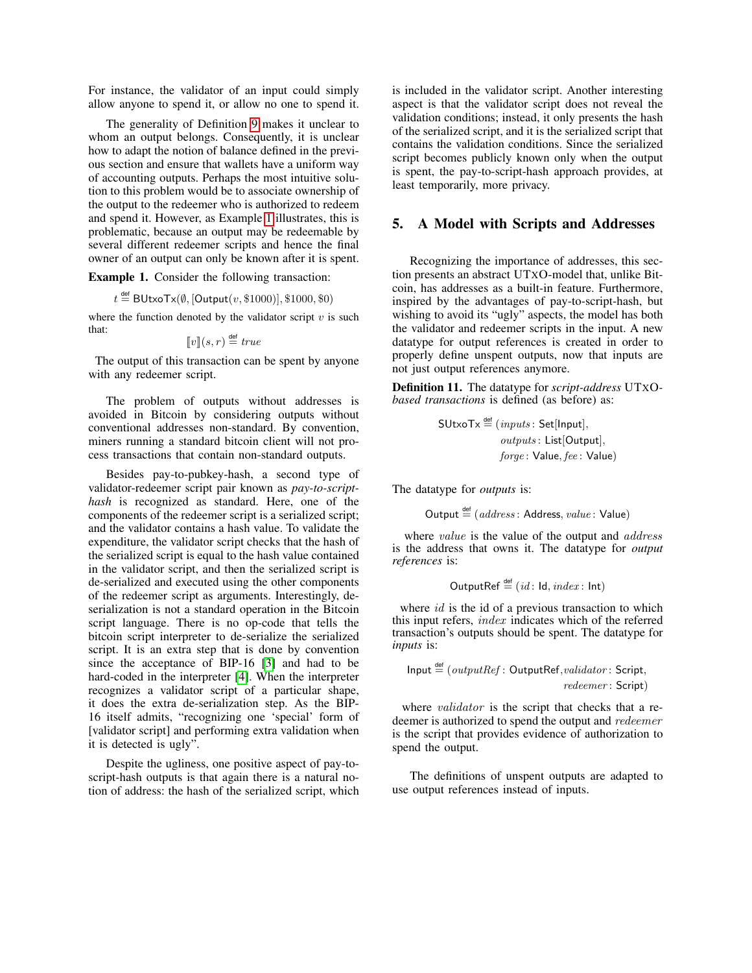For instance, the validator of an input could simply allow anyone to spend it, or allow no one to spend it.

The generality of Definition [9](#page-2-4) makes it unclear to whom an output belongs. Consequently, it is unclear how to adapt the notion of balance defined in the previous section and ensure that wallets have a uniform way of accounting outputs. Perhaps the most intuitive solution to this problem would be to associate ownership of the output to the redeemer who is authorized to redeem and spend it. However, as Example [1](#page-3-0) illustrates, this is problematic, because an output may be redeemable by several different redeemer scripts and hence the final owner of an output can only be known after it is spent.

<span id="page-3-0"></span>Example 1. Consider the following transaction:

$$
t \stackrel{\text{def}}{=} \text{BltxoTx}(\emptyset, [\text{Output}(v, \$1000)], \$1000, \$0)
$$

where the function denoted by the validator script  $v$  is such that:

$$
[\![v]\!](s,r) \stackrel{\text{def}}{=} \mathit{true}
$$

The output of this transaction can be spent by anyone with any redeemer script.

The problem of outputs without addresses is avoided in Bitcoin by considering outputs without conventional addresses non-standard. By convention, miners running a standard bitcoin client will not process transactions that contain non-standard outputs.

Besides pay-to-pubkey-hash, a second type of validator-redeemer script pair known as *pay-to-scripthash* is recognized as standard. Here, one of the components of the redeemer script is a serialized script; and the validator contains a hash value. To validate the expenditure, the validator script checks that the hash of the serialized script is equal to the hash value contained in the validator script, and then the serialized script is de-serialized and executed using the other components of the redeemer script as arguments. Interestingly, deserialization is not a standard operation in the Bitcoin script language. There is no op-code that tells the bitcoin script interpreter to de-serialize the serialized script. It is an extra step that is done by convention since the acceptance of BIP-16 [\[3\]](#page-4-2) and had to be hard-coded in the interpreter [\[4\]](#page-4-3). When the interpreter recognizes a validator script of a particular shape, it does the extra de-serialization step. As the BIP-16 itself admits, "recognizing one 'special' form of [validator script] and performing extra validation when it is detected is ugly".

Despite the ugliness, one positive aspect of pay-toscript-hash outputs is that again there is a natural notion of address: the hash of the serialized script, which

is included in the validator script. Another interesting aspect is that the validator script does not reveal the validation conditions; instead, it only presents the hash of the serialized script, and it is the serialized script that contains the validation conditions. Since the serialized script becomes publicly known only when the output is spent, the pay-to-script-hash approach provides, at least temporarily, more privacy.

### 5. A Model with Scripts and Addresses

Recognizing the importance of addresses, this section presents an abstract UTXO-model that, unlike Bitcoin, has addresses as a built-in feature. Furthermore, inspired by the advantages of pay-to-script-hash, but wishing to avoid its "ugly" aspects, the model has both the validator and redeemer scripts in the input. A new datatype for output references is created in order to properly define unspent outputs, now that inputs are not just output references anymore.

Definition 11. The datatype for *script-address* UTXO*based transactions* is defined (as before) as:

> $\mathsf{SUtxoTx} \stackrel{\mathsf{def}}{=} (inputs: \mathsf{Set}[\mathsf{Input}],$ outputs : List[Output], forge: Value, fee: Value)

The datatype for *outputs* is:

Output  $\stackrel{\text{def}}{=} (address: Address, value:Value)$ 

where *value* is the value of the output and *address* is the address that owns it. The datatype for *output references* is:

$$
OutputRef \stackrel{\text{def}}{=} (id: Id, index: Int)
$$

where  $id$  is the id of a previous transaction to which this input refers, index indicates which of the referred transaction's outputs should be spent. The datatype for *inputs* is:

$$
\mathsf{Input} \stackrel{\mathsf{def}}{=} (\mathit{outputRef} : \mathsf{OutputRef}, \mathit{validator} : \mathsf{Script}, \\ \mathit{redeemer} : \mathsf{Script})
$$

where *validator* is the script that checks that a redeemer is authorized to spend the output and redeemer is the script that provides evidence of authorization to spend the output.

The definitions of unspent outputs are adapted to use output references instead of inputs.